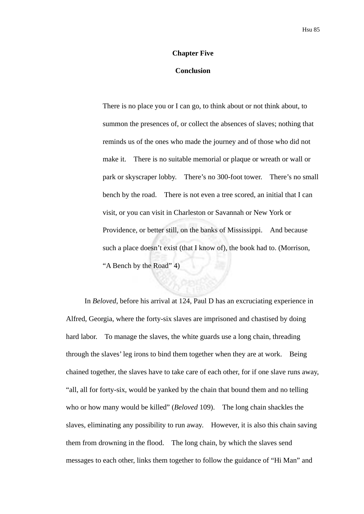## **Chapter Five**

## **Conclusion**

There is no place you or I can go, to think about or not think about, to summon the presences of, or collect the absences of slaves; nothing that reminds us of the ones who made the journey and of those who did not make it. There is no suitable memorial or plaque or wreath or wall or park or skyscraper lobby. There's no 300-foot tower. There's no small bench by the road. There is not even a tree scored, an initial that I can visit, or you can visit in Charleston or Savannah or New York or Providence, or better still, on the banks of Mississippi. And because such a place doesn't exist (that I know of), the book had to. (Morrison, "A Bench by the Road" 4)

In *Beloved*, before his arrival at 124, Paul D has an excruciating experience in Alfred, Georgia, where the forty-six slaves are imprisoned and chastised by doing hard labor. To manage the slaves, the white guards use a long chain, threading through the slaves' leg irons to bind them together when they are at work. Being chained together, the slaves have to take care of each other, for if one slave runs away, "all, all for forty-six, would be yanked by the chain that bound them and no telling who or how many would be killed" (*Beloved* 109). The long chain shackles the slaves, eliminating any possibility to run away. However, it is also this chain saving them from drowning in the flood. The long chain, by which the slaves send messages to each other, links them together to follow the guidance of "Hi Man" and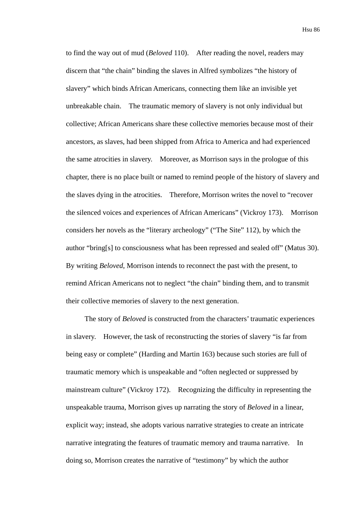to find the way out of mud (*Beloved* 110). After reading the novel, readers may discern that "the chain" binding the slaves in Alfred symbolizes "the history of slavery" which binds African Americans, connecting them like an invisible yet unbreakable chain. The traumatic memory of slavery is not only individual but collective; African Americans share these collective memories because most of their ancestors, as slaves, had been shipped from Africa to America and had experienced the same atrocities in slavery. Moreover, as Morrison says in the prologue of this chapter, there is no place built or named to remind people of the history of slavery and the slaves dying in the atrocities. Therefore, Morrison writes the novel to "recover the silenced voices and experiences of African Americans" (Vickroy 173). Morrison considers her novels as the "literary archeology" ("The Site" 112), by which the author "bring[s] to consciousness what has been repressed and sealed off" (Matus 30). By writing *Beloved*, Morrison intends to reconnect the past with the present, to remind African Americans not to neglect "the chain" binding them, and to transmit their collective memories of slavery to the next generation.

The story of *Beloved* is constructed from the characters' traumatic experiences in slavery. However, the task of reconstructing the stories of slavery "is far from being easy or complete" (Harding and Martin 163) because such stories are full of traumatic memory which is unspeakable and "often neglected or suppressed by mainstream culture" (Vickroy 172). Recognizing the difficulty in representing the unspeakable trauma, Morrison gives up narrating the story of *Beloved* in a linear, explicit way; instead, she adopts various narrative strategies to create an intricate narrative integrating the features of traumatic memory and trauma narrative. In doing so, Morrison creates the narrative of "testimony" by which the author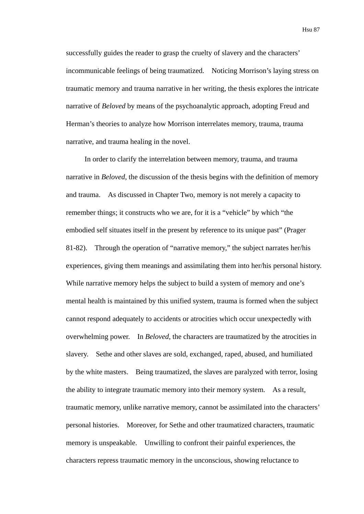Hsu 87

successfully guides the reader to grasp the cruelty of slavery and the characters' incommunicable feelings of being traumatized. Noticing Morrison's laying stress on traumatic memory and trauma narrative in her writing, the thesis explores the intricate narrative of *Beloved* by means of the psychoanalytic approach, adopting Freud and Herman's theories to analyze how Morrison interrelates memory, trauma, trauma narrative, and trauma healing in the novel.

In order to clarify the interrelation between memory, trauma, and trauma narrative in *Beloved*, the discussion of the thesis begins with the definition of memory and trauma. As discussed in Chapter Two, memory is not merely a capacity to remember things; it constructs who we are, for it is a "vehicle" by which "the embodied self situates itself in the present by reference to its unique past" (Prager 81-82). Through the operation of "narrative memory," the subject narrates her/his experiences, giving them meanings and assimilating them into her/his personal history. While narrative memory helps the subject to build a system of memory and one's mental health is maintained by this unified system, trauma is formed when the subject cannot respond adequately to accidents or atrocities which occur unexpectedly with overwhelming power. In *Beloved*, the characters are traumatized by the atrocities in slavery. Sethe and other slaves are sold, exchanged, raped, abused, and humiliated by the white masters. Being traumatized, the slaves are paralyzed with terror, losing the ability to integrate traumatic memory into their memory system. As a result, traumatic memory, unlike narrative memory, cannot be assimilated into the characters' personal histories. Moreover, for Sethe and other traumatized characters, traumatic memory is unspeakable. Unwilling to confront their painful experiences, the characters repress traumatic memory in the unconscious, showing reluctance to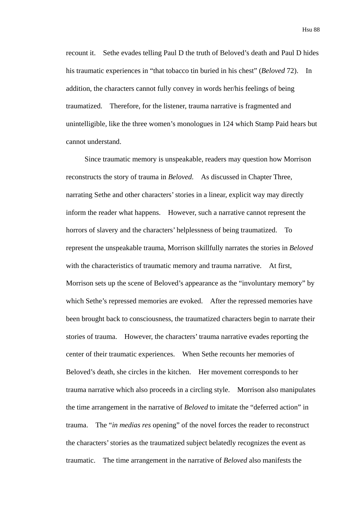recount it. Sethe evades telling Paul D the truth of Beloved's death and Paul D hides his traumatic experiences in "that tobacco tin buried in his chest" (*Beloved* 72). In addition, the characters cannot fully convey in words her/his feelings of being traumatized. Therefore, for the listener, trauma narrative is fragmented and unintelligible, like the three women's monologues in 124 which Stamp Paid hears but cannot understand.

Since traumatic memory is unspeakable, readers may question how Morrison reconstructs the story of trauma in *Beloved*. As discussed in Chapter Three, narrating Sethe and other characters' stories in a linear, explicit way may directly inform the reader what happens. However, such a narrative cannot represent the horrors of slavery and the characters' helplessness of being traumatized. To represent the unspeakable trauma, Morrison skillfully narrates the stories in *Beloved* with the characteristics of traumatic memory and trauma narrative. At first, Morrison sets up the scene of Beloved's appearance as the "involuntary memory" by which Sethe's repressed memories are evoked. After the repressed memories have been brought back to consciousness, the traumatized characters begin to narrate their stories of trauma. However, the characters' trauma narrative evades reporting the center of their traumatic experiences. When Sethe recounts her memories of Beloved's death, she circles in the kitchen. Her movement corresponds to her trauma narrative which also proceeds in a circling style. Morrison also manipulates the time arrangement in the narrative of *Beloved* to imitate the "deferred action" in trauma. The "*in medias res* opening" of the novel forces the reader to reconstruct the characters' stories as the traumatized subject belatedly recognizes the event as traumatic. The time arrangement in the narrative of *Beloved* also manifests the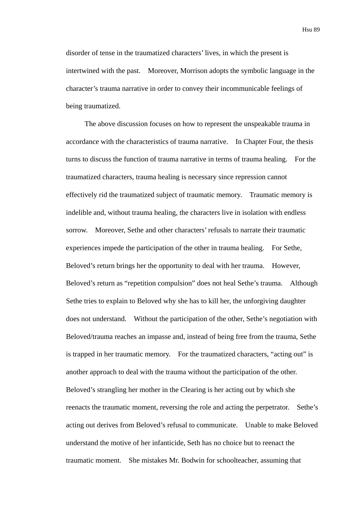Hsu 89

disorder of tense in the traumatized characters' lives, in which the present is intertwined with the past. Moreover, Morrison adopts the symbolic language in the character's trauma narrative in order to convey their incommunicable feelings of being traumatized.

The above discussion focuses on how to represent the unspeakable trauma in accordance with the characteristics of trauma narrative. In Chapter Four, the thesis turns to discuss the function of trauma narrative in terms of trauma healing. For the traumatized characters, trauma healing is necessary since repression cannot effectively rid the traumatized subject of traumatic memory. Traumatic memory is indelible and, without trauma healing, the characters live in isolation with endless sorrow. Moreover, Sethe and other characters' refusals to narrate their traumatic experiences impede the participation of the other in trauma healing. For Sethe, Beloved's return brings her the opportunity to deal with her trauma. However, Beloved's return as "repetition compulsion" does not heal Sethe's trauma. Although Sethe tries to explain to Beloved why she has to kill her, the unforgiving daughter does not understand. Without the participation of the other, Sethe's negotiation with Beloved/trauma reaches an impasse and, instead of being free from the trauma, Sethe is trapped in her traumatic memory. For the traumatized characters, "acting out" is another approach to deal with the trauma without the participation of the other. Beloved's strangling her mother in the Clearing is her acting out by which she reenacts the traumatic moment, reversing the role and acting the perpetrator. Sethe's acting out derives from Beloved's refusal to communicate. Unable to make Beloved understand the motive of her infanticide, Seth has no choice but to reenact the traumatic moment. She mistakes Mr. Bodwin for schoolteacher, assuming that